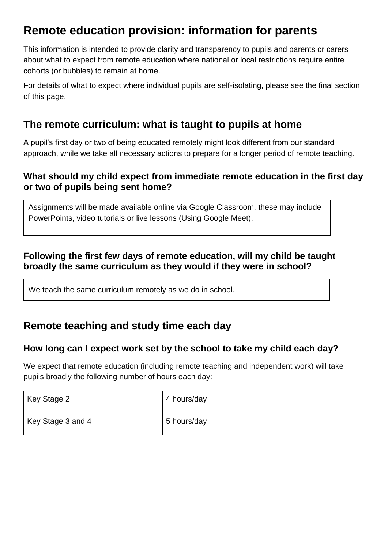# **Remote education provision: information for parents**

This information is intended to provide clarity and transparency to pupils and parents or carers about what to expect from remote education where national or local restrictions require entire cohorts (or bubbles) to remain at home.

For details of what to expect where individual pupils are self-isolating, please see the final section of this page.

## **The remote curriculum: what is taught to pupils at home**

A pupil's first day or two of being educated remotely might look different from our standard approach, while we take all necessary actions to prepare for a longer period of remote teaching.

### **What should my child expect from immediate remote education in the first day or two of pupils being sent home?**

Assignments will be made available online via Google Classroom, these may include PowerPoints, video tutorials or live lessons (Using Google Meet).

## **Following the first few days of remote education, will my child be taught broadly the same curriculum as they would if they were in school?**

We teach the same curriculum remotely as we do in school.

## **Remote teaching and study time each day**

## **How long can I expect work set by the school to take my child each day?**

We expect that remote education (including remote teaching and independent work) will take pupils broadly the following number of hours each day:

| Key Stage 2       | 4 hours/day |
|-------------------|-------------|
| Key Stage 3 and 4 | 5 hours/day |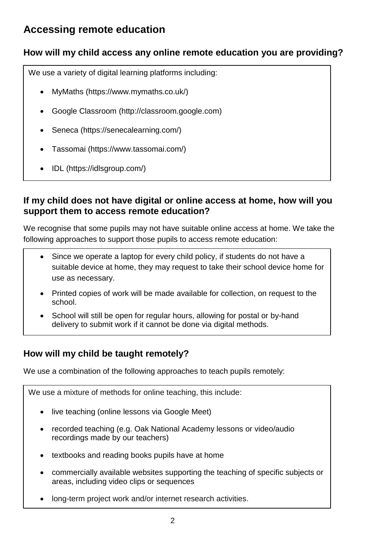## **Accessing remote education**

## **How will my child access any online remote education you are providing?**

We use a variety of digital learning platforms including:

- MyMaths (https://www.mymaths.co.uk/)
- Google Classroom (http://classroom.google.com)
- Seneca (https://senecalearning.com/)
- Tassomai (https://www.tassomai.com/)
- IDL (https://idlsgroup.com/)

### **If my child does not have digital or online access at home, how will you support them to access remote education?**

We recognise that some pupils may not have suitable online access at home. We take the following approaches to support those pupils to access remote education:

- Since we operate a laptop for every child policy, if students do not have a suitable device at home, they may request to take their school device home for use as necessary.
- Printed copies of work will be made available for collection, on request to the school.
- School will still be open for regular hours, allowing for postal or by-hand delivery to submit work if it cannot be done via digital methods.

## **How will my child be taught remotely?**

We use a combination of the following approaches to teach pupils remotely:

We use a mixture of methods for online teaching, this include:

- live teaching (online lessons via Google Meet)
- recorded teaching (e.g. Oak National Academy lessons or video/audio recordings made by our teachers)
- textbooks and reading books pupils have at home
- commercially available websites supporting the teaching of specific subjects or areas, including video clips or sequences
- long-term project work and/or internet research activities.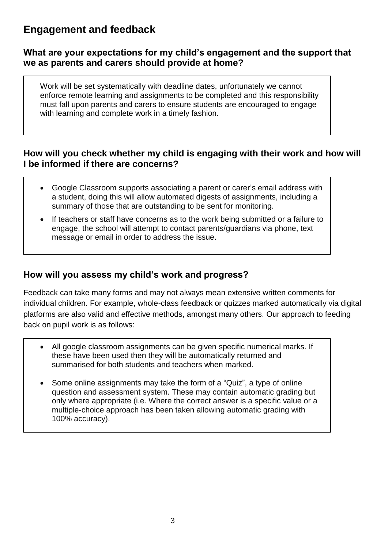## **Engagement and feedback**

#### **What are your expectations for my child's engagement and the support that we as parents and carers should provide at home?**

Work will be set systematically with deadline dates, unfortunately we cannot enforce remote learning and assignments to be completed and this responsibility must fall upon parents and carers to ensure students are encouraged to engage with learning and complete work in a timely fashion.

### **How will you check whether my child is engaging with their work and how will I be informed if there are concerns?**

- Google Classroom supports associating a parent or carer's email address with a student, doing this will allow automated digests of assignments, including a summary of those that are outstanding to be sent for monitoring.
- If teachers or staff have concerns as to the work being submitted or a failure to engage, the school will attempt to contact parents/guardians via phone, text message or email in order to address the issue.

### **How will you assess my child's work and progress?**

Feedback can take many forms and may not always mean extensive written comments for individual children. For example, whole-class feedback or quizzes marked automatically via digital platforms are also valid and effective methods, amongst many others. Our approach to feeding back on pupil work is as follows:

- All google classroom assignments can be given specific numerical marks. If these have been used then they will be automatically returned and summarised for both students and teachers when marked.
- Some online assignments may take the form of a "Quiz", a type of online question and assessment system. These may contain automatic grading but only where appropriate (i.e. Where the correct answer is a specific value or a multiple-choice approach has been taken allowing automatic grading with 100% accuracy).